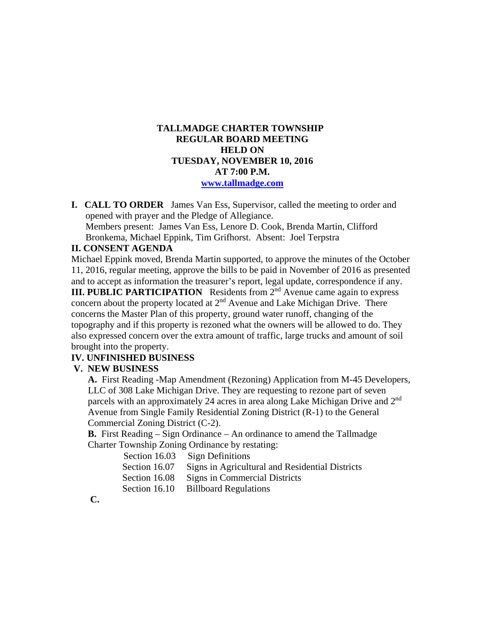# **TALLMADGE CHARTER TOWNSHIP REGULAR BOARD MEETING HELD ON TUESDAY, NOVEMBER 10, 2016 AT 7:00 P.M. www.tallmadge.com**

**I. CALL TO ORDER** James Van Ess, Supervisor, called the meeting to order and opened with prayer and the Pledge of Allegiance. Members present: James Van Ess, Lenore D. Cook, Brenda Martin, Clifford Bronkema, Michael Eppink, Tim Grifhorst. Absent: Joel Terpstra

# **II. CONSENT AGENDA**

Michael Eppink moved, Brenda Martin supported, to approve the minutes of the October 11, 2016, regular meeting, approve the bills to be paid in November of 2016 as presented and to accept as information the treasurer's report, legal update, correspondence if any.

**III. PUBLIC PARTICIPATION** Residents from 2<sup>nd</sup> Avenue came again to express concern about the property located at 2<sup>nd</sup> Avenue and Lake Michigan Drive. There concerns the Master Plan of this property, ground water runoff, changing of the topography and if this property is rezoned what the owners will be allowed to do. They also expressed concern over the extra amount of traffic, large trucks and amount of soil brought into the property.

#### **IV. UNFINISHED BUSINESS**

#### **V. NEW BUSINESS**

 **A.** First Reading -Map Amendment (Rezoning) Application from M-45 Developers, LLC of 308 Lake Michigan Drive. They are requesting to rezone part of seven parcels with an approximately 24 acres in area along Lake Michigan Drive and 2nd Avenue from Single Family Residential Zoning District (R-1) to the General Commercial Zoning District (C-2).

 **B.** First Reading – Sign Ordinance – An ordinance to amend the Tallmadge Charter Township Zoning Ordinance by restating:

Section 16.03 Sign Definitions

Section 16.07 Signs in Agricultural and Residential Districts

Section 16.08 Signs in Commercial Districts

Section 16.10 Billboard Regulations

**C.**